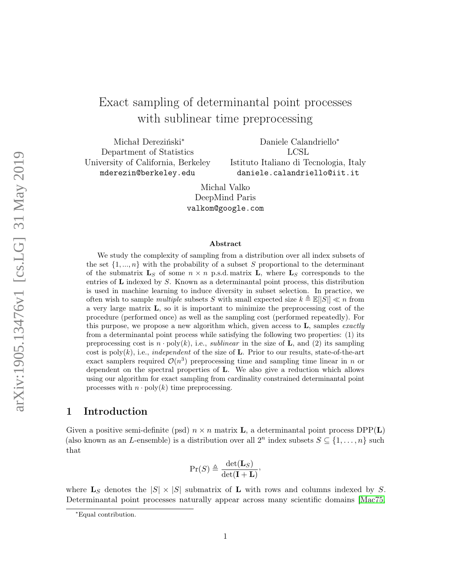# Exact sampling of determinantal point processes with sublinear time preprocessing

Michał Dereziński<sup>∗</sup> Department of Statistics University of California, Berkeley mderezin@berkeley.edu

Daniele Calandriello<sup>∗</sup> LCSL Istituto Italiano di Tecnologia, Italy daniele.calandriello@iit.it

Michal Valko DeepMind Paris valkom@google.com

#### Abstract

We study the complexity of sampling from a distribution over all index subsets of the set  $\{1, ..., n\}$  with the probability of a subset S proportional to the determinant of the submatrix  $\mathbf{L}_S$  of some  $n \times n$  p.s.d. matrix  $\mathbf{L}$ , where  $\mathbf{L}_S$  corresponds to the entries of L indexed by S. Known as a determinantal point process, this distribution is used in machine learning to induce diversity in subset selection. In practice, we often wish to sample *multiple* subsets S with small expected size  $k \triangleq \mathbb{E}(|S|) \ll n$  from a very large matrix L, so it is important to minimize the preprocessing cost of the procedure (performed once) as well as the sampling cost (performed repeatedly). For this purpose, we propose a new algorithm which, given access to  $\bf{L}$ , samples *exactly* from a determinantal point process while satisfying the following two properties: (1) its preprocessing cost is  $n \cdot poly(k)$ , i.e., *sublinear* in the size of **L**, and (2) its sampling cost is  $poly(k)$ , i.e., independent of the size of L. Prior to our results, state-of-the-art exact samplers required  $\mathcal{O}(n^3)$  preprocessing time and sampling time linear in n or dependent on the spectral properties of L. We also give a reduction which allows using our algorithm for exact sampling from cardinality constrained determinantal point processes with  $n \cdot \text{poly}(k)$  time preprocessing.

#### 1 Introduction

Given a positive semi-definite (psd)  $n \times n$  matrix **L**, a determinantal point process DPP(**L**) (also known as an *L*-ensemble) is a distribution over all  $2^n$  index subsets  $S \subseteq \{1, \ldots, n\}$  such that

$$
\Pr(S) \triangleq \frac{\det(\mathbf{L}_S)}{\det(\mathbf{I} + \mathbf{L})},
$$

where  $\mathbf{L}_S$  denotes the  $|S| \times |S|$  submatrix of L with rows and columns indexed by S. Determinantal point processes naturally appear across many scientific domains [\[Mac75,](#page-13-0)

<sup>∗</sup>Equal contribution.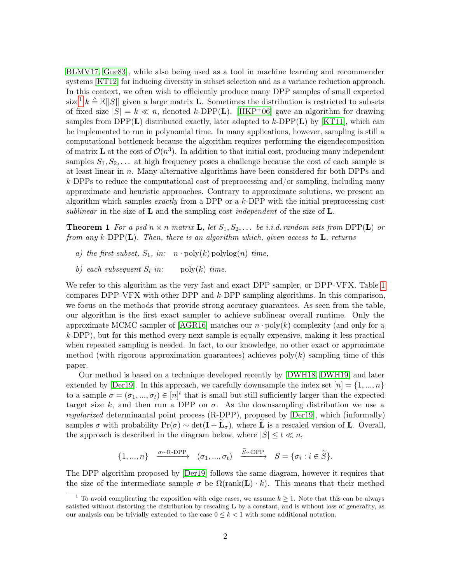[BLMV17,](#page-11-0) [Gue83\]](#page-12-0), while also being used as a tool in machine learning and recommender systems [\[KT12\]](#page-12-1) for inducing diversity in subset selection and as a variance reduction approach. In this context, we often wish to efficiently produce many DPP samples of small expected size<sup>[1](#page-1-0)</sup>  $k \triangleq \mathbb{E}(|S|)$  given a large matrix **L**. Sometimes the distribution is restricted to subsets of fixed size  $|S| = k \ll n$ , denoted k-DPP(L). [\[HKP](#page-12-2)<sup>+</sup>06] gave an algorithm for drawing samples from DPP $(L)$  distributed exactly, later adapted to k-DPP $(L)$  by [\[KT11\]](#page-12-3), which can be implemented to run in polynomial time. In many applications, however, sampling is still a computational bottleneck because the algorithm requires performing the eigendecomposition of matrix **L** at the cost of  $\mathcal{O}(n^3)$ . In addition to that initial cost, producing many independent samples  $S_1, S_2, \ldots$  at high frequency poses a challenge because the cost of each sample is at least linear in  $n$ . Many alternative algorithms have been considered for both DPPs and  $k$ -DPPs to reduce the computational cost of preprocessing and/or sampling, including many approximate and heuristic approaches. Contrary to approximate solutions, we present an algorithm which samples *exactly* from a DPP or a  $k$ -DPP with the initial preprocessing cost sublinear in the size of **L** and the sampling cost independent of the size of **L**.

**Theorem 1** For a psd  $n \times n$  matrix **L**, let  $S_1, S_2, \ldots$  be i.i.d. random sets from DPP(**L**) or from any k-DPP $(L)$ . Then, there is an algorithm which, given access to L, returns

- a) the first subset,  $S_1$ , in:  $n \cdot \text{poly}(k) \text{polylog}(n)$  time,
- b) each subsequent  $S_i$  in: poly(k) time.

We refer to this algorithm as the very fast and exact DPP sampler, or DPP-VFX. Table [1](#page-2-0) compares DPP-VFX with other DPP and k-DPP sampling algorithms. In this comparison, we focus on the methods that provide strong accuracy guarantees. As seen from the table, our algorithm is the first exact sampler to achieve sublinear overall runtime. Only the approximate MCMC sampler of  $[AGR16]$  matches our  $n \cdot \text{poly}(k)$  complexity (and only for a  $k$ -DPP), but for this method every next sample is equally expensive, making it less practical when repeated sampling is needed. In fact, to our knowledge, no other exact or approximate method (with rigorous approximation guarantees) achieves  $poly(k)$  sampling time of this paper.

Our method is based on a technique developed recently by [\[DWH18,](#page-11-1) [DWH19\]](#page-11-2) and later extended by [\[Der19\]](#page-11-3). In this approach, we carefully downsample the index set  $[n] = \{1, ..., n\}$ to a sample  $\sigma = (\sigma_1, ..., \sigma_t) \in [n]^t$  that is small but still sufficiently larger than the expected target size k, and then run a DPP on  $\sigma$ . As the downsampling distribution we use a regularized determinantal point process (R-DPP), proposed by [\[Der19\]](#page-11-3), which (informally) samples  $\sigma$  with probability  $Pr(\sigma) \sim det(\mathbf{I} + \widetilde{\mathbf{L}}_{\sigma})$ , where  $\widetilde{\mathbf{L}}$  is a rescaled version of **L**. Overall, the approach is described in the diagram below, where  $|S| \leq t \ll n$ ,

$$
\{1, ..., n\} \xrightarrow{\sigma \sim \text{R-DPP}} (\sigma_1, ..., \sigma_t) \xrightarrow{\tilde{S} \sim \text{DPP}} S = \{\sigma_i : i \in \tilde{S}\}.
$$

The DPP algorithm proposed by [\[Der19\]](#page-11-3) follows the same diagram, however it requires that the size of the intermediate sample  $\sigma$  be  $\Omega(\text{rank}(\mathbf{L}) \cdot k)$ . This means that their method

<span id="page-1-0"></span><sup>&</sup>lt;sup>1</sup> To avoid complicating the exposition with edge cases, we assume  $k \geq 1$ . Note that this can be always satisfied without distorting the distribution by rescaling **L** by a constant, and is without loss of generality, as our analysis can be trivially extended to the case  $0 \leq k < 1$  with some additional notation.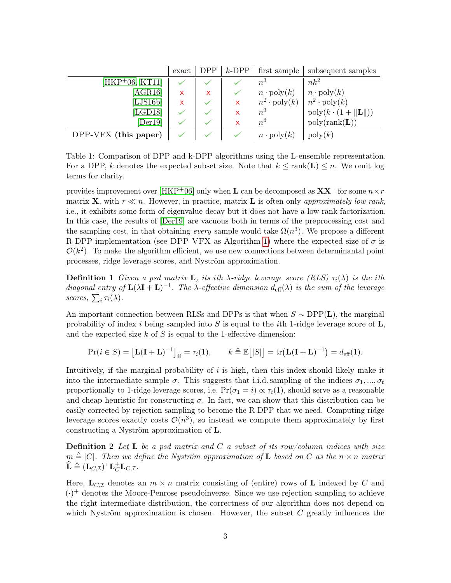<span id="page-2-0"></span>

|                      | $\boldsymbol{\mathrm{exact}}$ | DPP. | $k$ -DPP                  | first sample               | subsequent samples                          |
|----------------------|-------------------------------|------|---------------------------|----------------------------|---------------------------------------------|
| $[HKP+06, KT11]$     |                               |      |                           | $n^3$                      | $nk^2$                                      |
| [AGR16]              | x                             | X    |                           | $n \cdot \text{poly}(k)$   | $n \cdot \text{poly}(k)$                    |
| [LJS16b]             | x                             |      | $\boldsymbol{\mathsf{x}}$ | $n^2 \cdot \text{poly}(k)$ | $n^2 \cdot \text{poly}(k)$                  |
| [LGD18]              |                               |      |                           | $n^3$                      | $\text{poly}(k \cdot (1 +   \mathbf{L}  ))$ |
| [Der19]              |                               |      |                           | $n^3$                      | $\text{poly}(\text{rank}(\mathbf{L}))$      |
| DPP-VFX (this paper) |                               |      |                           | $n \cdot \text{poly}(k)$   | $\mathrm{poly}(k)$                          |

 $\mathbf{H}$  $\lceil \text{max} \rceil$   $\lceil \text{max} \rceil$ 

Table 1: Comparison of DPP and k-DPP algorithms using the L-ensemble representation. For a DPP, k denotes the expected subset size. Note that  $k \leq \text{rank}(\mathbf{L}) \leq n$ . We omit log terms for clarity.

provides improvement over [\[HKP](#page-12-2)+06] only when **L** can be decomposed as  $\mathbf{X} \mathbf{X}^{\top}$  for some  $n \times r$ matrix **X**, with  $r \ll n$ . However, in practice, matrix **L** is often only approximately low-rank, i.e., it exhibits some form of eigenvalue decay but it does not have a low-rank factorization. In this case, the results of [\[Der19\]](#page-11-3) are vacuous both in terms of the preprocessing cost and the sampling cost, in that obtaining every sample would take  $\Omega(n^3)$ . We propose a different R-DPP implementation (see DPP-VFX as Algorithm [1\)](#page-4-0) where the expected size of  $\sigma$  is  $\mathcal{O}(k^2)$ . To make the algorithm efficient, we use new connections between determinantal point processes, ridge leverage scores, and Nyström approximation.

**Definition 1** Given a psd matrix **L**, its ith  $\lambda$ -ridge leverage score (RLS)  $\tau_i(\lambda)$  is the ith diagonal entry of  $\mathbf{L}(\lambda \mathbf{I} + \mathbf{L})^{-1}$ . The  $\lambda$ -effective dimension  $d_{\text{eff}}(\lambda)$  is the sum of the leverage scores,  $\sum_i \tau_i(\lambda)$ .

An important connection between RLSs and DPPs is that when  $S \sim \text{DPP}(\mathbf{L})$ , the marginal probability of index i being sampled into S is equal to the ith 1-ridge leverage score of  $\mathbf{L}$ , and the expected size  $k$  of  $S$  is equal to the 1-effective dimension:

<span id="page-2-1"></span>
$$
\Pr(i \in S) = \left[\mathbf{L}(\mathbf{I} + \mathbf{L})^{-1}\right]_{ii} = \tau_i(1), \qquad k \triangleq \mathbb{E}\big[|S|\big] = \text{tr}\big(\mathbf{L}(\mathbf{I} + \mathbf{L})^{-1}\big) = d_{\text{eff}}(1).
$$

Intuitively, if the marginal probability of  $i$  is high, then this index should likely make it into the intermediate sample  $\sigma$ . This suggests that i.i.d. sampling of the indices  $\sigma_1, ..., \sigma_t$ proportionally to 1-ridge leverage scores, i.e.  $Pr(\sigma_1 = i) \propto \tau_i(1)$ , should serve as a reasonable and cheap heuristic for constructing  $\sigma$ . In fact, we can show that this distribution can be easily corrected by rejection sampling to become the R-DPP that we need. Computing ridge leverage scores exactly costs  $\mathcal{O}(n^3)$ , so instead we compute them approximately by first constructing a Nyström approximation of L.

**Definition 2** Let **L** be a psd matrix and C a subset of its row/column indices with size  $m \triangleq |C|$ . Then we define the Nyström approximation of **L** based on C as the  $n \times n$  matrix  $\widehat{\mathbf{L}} \triangleq (\mathbf{L}_{C, \mathcal{I}})^\top \mathbf{L}_C^+ \mathbf{L}_{C, \mathcal{I}}.$ 

Here,  $\mathbf{L}_{C,\mathcal{I}}$  denotes an  $m \times n$  matrix consisting of (entire) rows of L indexed by C and  $(\cdot)^+$  denotes the Moore-Penrose pseudoinverse. Since we use rejection sampling to achieve the right intermediate distribution, the correctness of our algorithm does not depend on which Nyström approximation is chosen. However, the subset  $C$  greatly influences the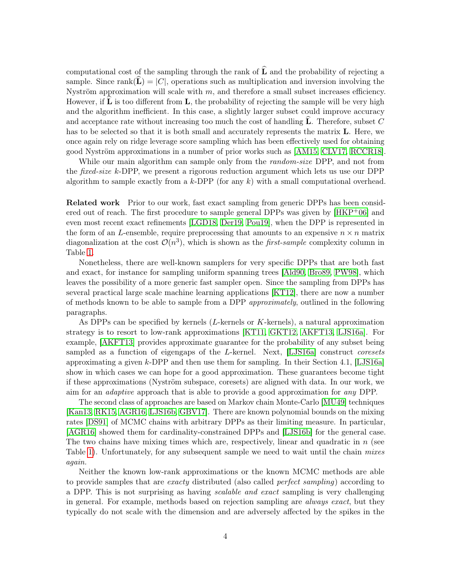computational cost of the sampling through the rank of  $\widehat{\mathbf{L}}$  and the probability of rejecting a sample. Since rank( $\mathbf{L} = |C|$ , operations such as multiplication and inversion involving the Nyström approximation will scale with  $m$ , and therefore a small subset increases efficiency. However, if  $\bf{L}$  is too different from  $\bf{L}$ , the probability of rejecting the sample will be very high and the algorithm inefficient. In this case, a slightly larger subset could improve accuracy and acceptance rate without increasing too much the cost of handling  $\bf{L}$ . Therefore, subset C has to be selected so that it is both small and accurately represents the matrix **L**. Here, we once again rely on ridge leverage score sampling which has been effectively used for obtaining good Nyström approximations in a number of prior works such as [\[AM15,](#page-11-4) [CLV17,](#page-11-5) [RCCR18\]](#page-13-2).

While our main algorithm can sample only from the *random-size* DPP, and not from the *fixed-size* k-DPP, we present a rigorous reduction argument which lets us use our DPP algorithm to sample exactly from a k-DPP (for any  $k$ ) with a small computational overhead.

Related work Prior to our work, fast exact sampling from generic DPPs has been considered out of reach. The first procedure to sample general DPPs was given by [\[HKP](#page-12-2)+06] and even most recent exact refinements [\[LGD18,](#page-12-4) [Der19,](#page-11-3) [Pou19\]](#page-13-3), when the DPP is represented in the form of an L-ensemble, require preprocessing that amounts to an expensive  $n \times n$  matrix diagonalization at the cost  $\mathcal{O}(n^3)$ , which is shown as the *first-sample* complexity column in Table [1.](#page-2-0)

Nonetheless, there are well-known samplers for very specific DPPs that are both fast and exact, for instance for sampling uniform spanning trees [\[Ald90,](#page-11-6) [Bro89,](#page-11-7) [PW98\]](#page-13-4), which leaves the possibility of a more generic fast sampler open. Since the sampling from DPPs has several practical large scale machine learning applications [\[KT12\]](#page-12-1), there are now a number of methods known to be able to sample from a DPP approximately, outlined in the following paragraphs.

As DPPs can be specified by kernels  $(L$ -kernels or  $K$ -kernels), a natural approximation strategy is to resort to low-rank approximations [\[KT11,](#page-12-3) [GKT12,](#page-12-5) [AKFT13,](#page-10-1) [LJS16a\]](#page-12-6). For example, [\[AKFT13\]](#page-10-1) provides approximate guarantee for the probability of any subset being sampled as a function of eigengaps of the L-kernel. Next, [\[LJS16a\]](#page-12-6) construct *coresets* approximating a given k-DPP and then use them for sampling. In their Section 4.1, [\[LJS16a\]](#page-12-6) show in which cases we can hope for a good approximation. These guarantees become tight if these approximations (Nyström subspace, coresets) are aligned with data. In our work, we aim for an adaptive approach that is able to provide a good approximation for any DPP.

The second class of approaches are based on Markov chain Monte-Carlo [\[MU49\]](#page-13-5) techniques [\[Kan13,](#page-12-7) [RK15,](#page-13-6) [AGR16,](#page-10-0) [LJS16b,](#page-13-1) [GBV17\]](#page-12-8). There are known polynomial bounds on the mixing rates [\[DS91\]](#page-11-8) of MCMC chains with arbitrary DPPs as their limiting measure. In particular, [\[AGR16\]](#page-10-0) showed them for cardinality-constrained DPPs and [\[LJS16b\]](#page-13-1) for the general case. The two chains have mixing times which are, respectively, linear and quadratic in  $n$  (see Table [1\)](#page-2-0). Unfortunately, for any subsequent sample we need to wait until the chain *mixes* again.

Neither the known low-rank approximations or the known MCMC methods are able to provide samples that are exacty distributed (also called perfect sampling) according to a DPP. This is not surprising as having *scalable and exact* sampling is very challenging in general. For example, methods based on rejection sampling are *always exact*, but they typically do not scale with the dimension and are adversely affected by the spikes in the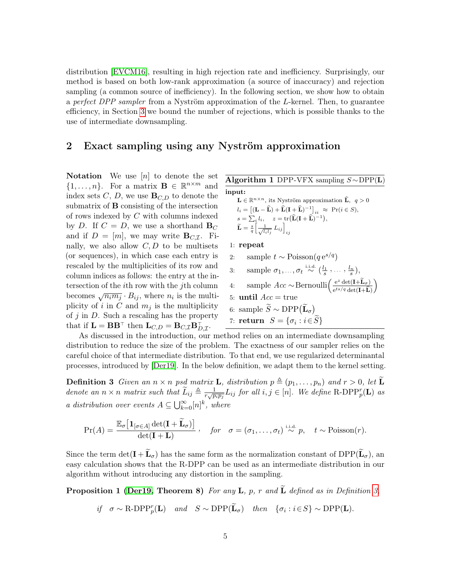distribution [\[EVCM16\]](#page-11-9), resulting in high rejection rate and inefficiency. Surprisingly, our method is based on both low-rank approximation (a source of inaccuracy) and rejection sampling (a common source of inefficiency). In the following section, we show how to obtain a perfect DPP sampler from a Nyström approximation of the L-kernel. Then, to guarantee efficiency, in Section [3](#page-6-0) we bound the number of rejections, which is possible thanks to the use of intermediate downsampling.

#### <span id="page-4-5"></span>2 Exact sampling using any Nyström approximation

**Notation** We use  $[n]$  to denote the set  $\{1,\ldots,n\}$ . For a matrix  $\mathbf{B} \in \mathbb{R}^{n \times m}$  and index sets  $C, D$ , we use  $\mathbf{B}_{C,D}$  to denote the submatrix of B consisting of the intersection of rows indexed by C with columns indexed by D. If  $C = D$ , we use a shorthand  $B_C$ and if  $D = [m]$ , we may write  $\mathbf{B}_{C,\mathcal{I}}$ . Finally, we also allow  $C, D$  to be multisets (or sequences), in which case each entry is rescaled by the multiplicities of its row and column indices as follows: the entry at the intersection of the ith row with the jth column becomes  $\sqrt{n_i m_j} \cdot B_{ij}$ , where  $n_i$  is the multiplicity of i in C and  $m_i$  is the multiplicity of  $j$  in  $D$ . Such a rescaling has the property that if  $\mathbf{L} = \mathbf{B} \mathbf{B}^{\top}$  then  $\mathbf{L}_{C,D} = \mathbf{B}_{C,\mathcal{I}} \mathbf{B}_{D,\mathcal{I}}^{\top}$ .

<span id="page-4-4"></span><span id="page-4-3"></span><span id="page-4-1"></span><span id="page-4-0"></span>Algorithm 1 DPP-VFX sampling  $S \sim DPP(L)$ input:  $\mathbf{L} \in \mathbb{R}^{n \times n}$ , its Nyström approximation  $\widehat{\mathbf{L}}$ ,  $q > 0$  $l_i = \left[ (\mathbf{L} - \widehat{\mathbf{L}}) + \widehat{\mathbf{L}} (\mathbf{I} + \widehat{\mathbf{L}})^{-1} \right]_{ii} \approx \text{Pr}(i \in S),$  $s = \sum_i l_i, \quad z = \text{tr}\big(\widehat{\mathbf{L}}(\mathbf{I} + \widehat{\mathbf{L}})^{-1}\big),$  $\widetilde{\mathbf{L}} = \frac{s}{q} \Big[ \frac{1}{\sqrt{l_i l_j}} \, L_{ij} \Big]_{ij}$ 1: repeat 2: sample  $t \sim \text{Poisson}(q e^{s/q})$ 3: sample  $\sigma_1, \ldots, \sigma_t \stackrel{\text{i.i.d.}}{\sim} (\frac{l_1}{s}, \ldots, \frac{l_n}{s}),$ 4: sample  $Acc \sim \text{Bernoulli}\left(\frac{e^z \det(\mathbf{I} + \widetilde{\mathbf{L}}_{\sigma})}{e^{ts/q} \det(\mathbf{I} + \widehat{\mathbf{L}})}\right)$  $\setminus$ 5: until  $Acc = true$ 6: sample  $\widetilde{S} \sim \text{DPP}(\widetilde{\mathbf{L}}_{\sigma})$ 7: **return**  $S = \{\sigma_i : i \in S\}$ 

As discussed in the introduction, our method relies on an intermediate downsampling distribution to reduce the size of the problem. The exactness of our sampler relies on the careful choice of that intermediate distribution. To that end, we use regularized determinantal processes, introduced by [\[Der19\]](#page-11-3). In the below definition, we adapt them to the kernel setting.

**Definition 3** Given an  $n \times n$  psd matrix **L**, distribution  $p \triangleq (p_1, \ldots, p_n)$  and  $r > 0$ , let **L** denote an  $n \times n$  matrix such that  $\widetilde{L}_{ij} \triangleq \frac{1}{r\sqrt{p}}$  $\frac{1}{r\sqrt{p_ip_j}}L_{ij}$  for all  $i, j \in [n]$ . We define R-DPP<sub>p</sub><sup>r</sup>(**L**) as a distribution over events  $A \subseteq \bigcup_{k=0}^{\infty} [n]^k$ , where

$$
\Pr(A) = \frac{\mathbb{E}_{\sigma} \left[ \mathbf{1}_{[\sigma \in A]} \det(\mathbf{I} + \widetilde{\mathbf{L}}_{\sigma}) \right]}{\det(\mathbf{I} + \mathbf{L})}, \quad \text{for} \quad \sigma = (\sigma_1, \dots, \sigma_t) \stackrel{\text{i.i.d.}}{\sim} p, \quad t \sim \text{Poisson}(r).
$$

Since the term  $\det(\mathbf{I} + \widetilde{\mathbf{L}}_{\sigma})$  has the same form as the normalization constant of  $DPP(\widetilde{\mathbf{L}}_{\sigma})$ , an easy calculation shows that the R-DPP can be used as an intermediate distribution in our algorithm without introducing any distortion in the sampling.

**Proposition 1 [\(Der19,](#page-11-3) Theorem 8)** For any **L**, p, r and  $\widetilde{\bf{L}}$  defined as in Definition [3,](#page-4-1)

<span id="page-4-2"></span>if 
$$
\sigma \sim \text{R-DPP}_p^r(\mathbf{L})
$$
 and  $S \sim \text{DPP}(\widetilde{\mathbf{L}}_{\sigma})$  then  $\{\sigma_i : i \in S\} \sim \text{DPP}(\mathbf{L})$ .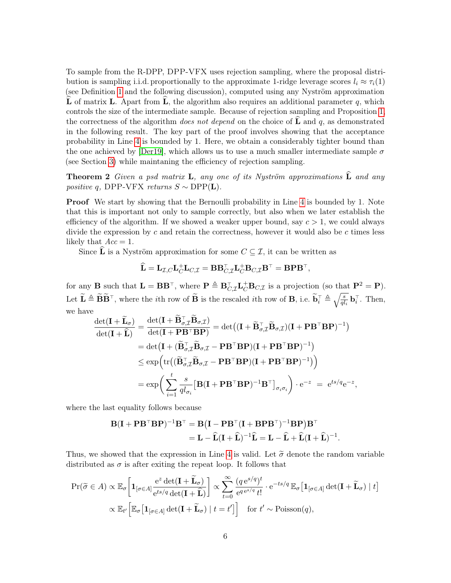To sample from the R-DPP, DPP-VFX uses rejection sampling, where the proposal distribution is sampling i.i.d. proportionally to the approximate 1-ridge leverage scores  $l_i \approx \tau_i(1)$ (see Definition [1](#page-2-1) and the following discussion), computed using any Nyström approximation L of matrix L. Apart from L, the algorithm also requires an additional parameter q, which controls the size of the intermediate sample. Because of rejection sampling and Proposition [1,](#page-4-2) the correctness of the algorithm *does not depend* on the choice of  $\bf{L}$  and q, as demonstrated in the following result. The key part of the proof involves showing that the acceptance probability in Line [4](#page-4-3) is bounded by 1. Here, we obtain a considerably tighter bound than the one achieved by [\[Der19\]](#page-11-3), which allows us to use a much smaller intermediate sample  $\sigma$ (see Section [3\)](#page-6-0) while maintaning the efficiency of rejection sampling.

**Theorem 2** Given a psd matrix **L**, any one of its Nyström approximations  $\widehat{\mathbf{L}}$  and any positive q, DPP-VFX returns  $S \sim \text{DPP}(\mathbf{L})$ .

**Proof** We start by showing that the Bernoulli probability in Line [4](#page-4-3) is bounded by 1. Note that this is important not only to sample correctly, but also when we later establish the efficiency of the algorithm. If we showed a weaker upper bound, say  $c > 1$ , we could always divide the expression by c and retain the correctness, however it would also be c times less likely that  $Acc = 1$ .

Since  $\hat{\mathbf{L}}$  is a Nyström approximation for some  $C \subseteq \mathcal{I}$ , it can be written as

<span id="page-5-0"></span>
$$
\widehat{\mathbf{L}} = \mathbf{L}_{\mathcal{I},C} \mathbf{L}_{C}^{\dagger} \mathbf{L}_{C,\mathcal{I}} = \mathbf{B} \mathbf{B}_{C,\mathcal{I}}^{\top} \mathbf{L}_{C}^{\dagger} \mathbf{B}_{C,\mathcal{I}} \mathbf{B}^{\top} = \mathbf{B} \mathbf{P} \mathbf{B}^{\top},
$$

for any **B** such that  $\mathbf{L} = \mathbf{B} \mathbf{B}^{\top}$ , where  $\mathbf{P} \triangleq \mathbf{B}_{C,\mathcal{I}}^{\top} \mathbf{L}_C^{\top} \mathbf{B}_{C,\mathcal{I}}$  is a projection (so that  $\mathbf{P}^2 = \mathbf{P}$ ). Let  $\widetilde{\mathbf{L}} \triangleq \widetilde{\mathbf{B}} \widetilde{\mathbf{B}}^{\top}$ , where the *i*th row of  $\widetilde{\mathbf{B}}$  is the rescaled *i*th row of  $\mathbf{B}$ , i.e.  $\widetilde{\mathbf{b}}_i^{\top} \triangleq \sqrt{\frac{s}{ql_i}} \mathbf{b}_i^{\top}$ . Then, we have

$$
\frac{\det(\mathbf{I} + \widetilde{\mathbf{L}}_{\sigma})}{\det(\mathbf{I} + \widehat{\mathbf{L}})} = \frac{\det(\mathbf{I} + \widetilde{\mathbf{B}}_{\sigma,\mathcal{I}}^{\top}\widetilde{\mathbf{B}}_{\sigma,\mathcal{I}})}{\det(\mathbf{I} + \mathbf{P}\mathbf{B}^{\top}\mathbf{B}\mathbf{P})} = \det((\mathbf{I} + \widetilde{\mathbf{B}}_{\sigma,\mathcal{I}}^{\top}\widetilde{\mathbf{B}}_{\sigma,\mathcal{I}})(\mathbf{I} + \mathbf{P}\mathbf{B}^{\top}\mathbf{B}\mathbf{P})^{-1})
$$
\n
$$
= \det(\mathbf{I} + (\widetilde{\mathbf{B}}_{\sigma,\mathcal{I}}^{\top}\widetilde{\mathbf{B}}_{\sigma,\mathcal{I}} - \mathbf{P}\mathbf{B}^{\top}\mathbf{B}\mathbf{P})(\mathbf{I} + \mathbf{P}\mathbf{B}^{\top}\mathbf{B}\mathbf{P})^{-1})
$$
\n
$$
\leq \exp\left(\text{tr}((\widetilde{\mathbf{B}}_{\sigma,\mathcal{I}}^{\top}\widetilde{\mathbf{B}}_{\sigma,\mathcal{I}} - \mathbf{P}\mathbf{B}^{\top}\mathbf{B}\mathbf{P})(\mathbf{I} + \mathbf{P}\mathbf{B}^{\top}\mathbf{B}\mathbf{P})^{-1})\right)
$$
\n
$$
= \exp\left(\sum_{i=1}^{t} \frac{s}{ql_{\sigma_{i}}} \left[\mathbf{B}(\mathbf{I} + \mathbf{P}\mathbf{B}^{\top}\mathbf{B}\mathbf{P})^{-1}\mathbf{B}^{\top}\right]_{\sigma_{i}\sigma_{i}}\right) \cdot e^{-z} = e^{ts/q}e^{-z},
$$

where the last equality follows because

$$
\mathbf{B}(\mathbf{I} + \mathbf{P}\mathbf{B}^{\top}\mathbf{B}\mathbf{P})^{-1}\mathbf{B}^{\top} = \mathbf{B}(\mathbf{I} - \mathbf{P}\mathbf{B}^{\top}(\mathbf{I} + \mathbf{B}\mathbf{P}\mathbf{B}^{\top})^{-1}\mathbf{B}\mathbf{P})\mathbf{B}^{\top}
$$

$$
= \mathbf{L} - \widehat{\mathbf{L}}(\mathbf{I} + \widehat{\mathbf{L}})^{-1}\widehat{\mathbf{L}} = \mathbf{L} - \widehat{\mathbf{L}} + \widehat{\mathbf{L}}(\mathbf{I} + \widehat{\mathbf{L}})^{-1}.
$$

Thus, we showed that the expression in Line [4](#page-4-3) is valid. Let  $\tilde{\sigma}$  denote the random variable distributed as  $\sigma$  is after exiting the repeat loop. It follows that

$$
\Pr(\widetilde{\sigma} \in A) \propto \mathbb{E}_{\sigma} \left[ \mathbf{1}_{[\sigma \in A]} \frac{e^z \det(\mathbf{I} + \widetilde{\mathbf{L}}_{\sigma})}{e^{ts/q} \det(\mathbf{I} + \widehat{\mathbf{L}})} \right] \propto \sum_{t=0}^{\infty} \frac{(q e^{s/q})^t}{e^{q e^{s/q}} t!} \cdot e^{-ts/q} \mathbb{E}_{\sigma} \left[ \mathbf{1}_{[\sigma \in A]} \det(\mathbf{I} + \widetilde{\mathbf{L}}_{\sigma}) \mid t \right]
$$

$$
\propto \mathbb{E}_{t'} \left[ \mathbb{E}_{\sigma} \left[ \mathbf{1}_{[\sigma \in A]} \det(\mathbf{I} + \widetilde{\mathbf{L}}_{\sigma}) \mid t = t' \right] \right] \quad \text{for } t' \sim \text{Poisson}(q),
$$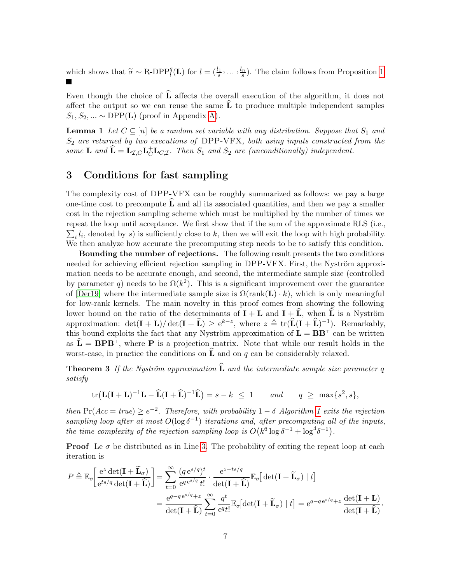which shows that  $\widetilde{\sigma} \sim \text{R-DPP}_l^q(\mathbf{L})$  for  $l = (\frac{l_1}{s}, \dots, \frac{l_n}{s})$ . The claim follows from Proposition [1.](#page-4-2)

Even though the choice of  $\bf{L}$  affects the overall execution of the algorithm, it does not affect the output so we can reuse the same  $\widehat{L}$  to produce multiple independent samples  $S_1, S_2, ... \sim \text{DPP}(\mathbf{L})$  (proof in Appendix [A\)](#page-14-0).

<span id="page-6-2"></span>**Lemma 1** Let  $C \subseteq [n]$  be a random set variable with any distribution. Suppose that  $S_1$  and  $S_2$  are returned by two executions of DPP-VFX, both using inputs constructed from the same **L** and  $\hat{\mathbf{L}} = \mathbf{L}_{\mathcal{I},C} \mathbf{L}_{C}^{\dagger} \mathbf{L}_{C,\mathcal{I}}$ . Then  $S_1$  and  $S_2$  are (unconditionally) independent.

### <span id="page-6-0"></span>3 Conditions for fast sampling

The complexity cost of DPP-VFX can be roughly summarized as follows: we pay a large one-time cost to precompute  $\bf{L}$  and all its associated quantities, and then we pay a smaller cost in the rejection sampling scheme which must be multiplied by the number of times we repeat the loop until acceptance. We first show that if the sum of the approximate RLS (i.e.,  $\sum_i l_i$ , denoted by s) is sufficiently close to k, then we will exit the loop with high probability. We then analyze how accurate the precomputing step needs to be to satisfy this condition.

Bounding the number of rejections. The following result presents the two conditions needed for achieving efficient rejection sampling in DPP-VFX. First, the Nyström approximation needs to be accurate enough, and second, the intermediate sample size (controlled by parameter q) needs to be  $\Omega(k^2)$ . This is a significant improvement over the guarantee of [\[Der19\]](#page-11-3) where the intermediate sample size is  $\Omega(\text{rank}(\mathbf{L}) \cdot k)$ , which is only meaningful for low-rank kernels. The main novelty in this proof comes from showing the following lower bound on the ratio of the determinants of  $\mathbf{I} + \mathbf{L}$  and  $\mathbf{I} + \mathbf{L}$ , when  $\mathbf{L}$  is a Nyström approximation:  $\det(\mathbf{I} + \mathbf{L})/\det(\mathbf{I} + \hat{\mathbf{L}}) \geq e^{k-z}$ , where  $z \triangleq \text{tr}(\hat{\mathbf{L}}(\mathbf{I} + \hat{\mathbf{L}})^{-1})$ . Remarkably, this bound exploits the fact that any Nyström approximation of  $\mathbf{L} = \mathbf{B} \mathbf{B}^{\top}$  can be written as  $L = BPB^{\dagger}$ , where **P** is a projection matrix. Note that while our result holds in the worst-case, in practice the conditions on  $\tilde{L}$  and on q can be considerably relaxed.

**Theorem 3** If the Nyström approximation  $\widehat{\mathbf{L}}$  and the intermediate sample size parameter q satisfy

<span id="page-6-1"></span>
$$
\operatorname{tr}\left(\mathbf{L}(\mathbf{I}+\mathbf{L})^{-1}\mathbf{L}-\widehat{\mathbf{L}}(\mathbf{I}+\widehat{\mathbf{L}})^{-1}\widehat{\mathbf{L}}\right)=s-k \leq 1 \quad \text{and} \quad q \geq \max\{s^2,s\},
$$

then  $Pr(Acc = true) \ge e^{-2}$ . Therefore, with probability  $1 - \delta$  Algorithm [1](#page-4-0) exits the rejection sampling loop after at most  $O(\log \delta^{-1})$  iterations and, after precomputing all of the inputs, the time complexity of the rejection sampling loop is  $O(k^6 \log \delta^{-1} + \log^4 \delta^{-1})$ .

**Proof** Le  $\sigma$  be distributed as in Line [3.](#page-4-4) The probability of exiting the repeat loop at each iteration is

$$
P \triangleq \mathbb{E}_{\sigma} \left[ \frac{e^z \det(\mathbf{I} + \widetilde{\mathbf{L}}_{\sigma})}{e^{ts/q} \det(\mathbf{I} + \widehat{\mathbf{L}})} \right] = \sum_{t=0}^{\infty} \frac{(q e^{s/q})^t}{e^{q e^{s/q}} t!} \cdot \frac{e^{z - ts/q}}{\det(\mathbf{I} + \widehat{\mathbf{L}})} \mathbb{E}_{\sigma} \left[ \det(\mathbf{I} + \widetilde{\mathbf{L}}_{\sigma}) \mid t \right]
$$

$$
= \frac{e^{q - q e^{s/q} + z}}{\det(\mathbf{I} + \widehat{\mathbf{L}})} \sum_{t=0}^{\infty} \frac{q^t}{e^q t!} \mathbb{E}_{\sigma} \left[ \det(\mathbf{I} + \widetilde{\mathbf{L}}_{\sigma}) \mid t \right] = e^{q - q e^{s/q} + z} \frac{\det(\mathbf{I} + \mathbf{L})}{\det(\mathbf{I} + \widehat{\mathbf{L}})},
$$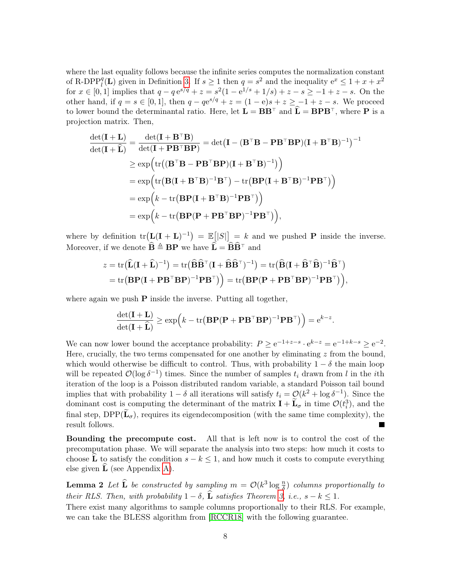where the last equality follows because the infinite series computes the normalization constant of R-DPP<sub>l</sub><sup>q</sup></sub>(**L**) given in Definition [3.](#page-4-1) If  $s \ge 1$  then  $q = s^2$  and the inequality  $e^x \le 1 + x + x^2$ for  $x \in [0,1]$  implies that  $q - q e^{s/q} + z = s^2(1 - e^{1/s} + 1/s) + z - s \ge -1 + z - s$ . On the other hand, if  $q = s \in [0, 1]$ , then  $q - q e^{s/q} + z = (1 - e)s + z \ge -1 + z - s$ . We proceed to lower bound the determinantal ratio. Here, let  $\mathbf{L} = \mathbf{B} \mathbf{B}^{\top}$  and  $\mathbf{L} = \mathbf{B} \mathbf{P} \mathbf{B}^{\top}$ , where **P** is a projection matrix. Then,

$$
\frac{\det(\mathbf{I} + \mathbf{L})}{\det(\mathbf{I} + \widehat{\mathbf{L}})} = \frac{\det(\mathbf{I} + \mathbf{B}^{\top}\mathbf{B})}{\det(\mathbf{I} + \mathbf{P}\mathbf{B}^{\top}\mathbf{B}\mathbf{P})} = \det(\mathbf{I} - (\mathbf{B}^{\top}\mathbf{B} - \mathbf{P}\mathbf{B}^{\top}\mathbf{B}\mathbf{P})(\mathbf{I} + \mathbf{B}^{\top}\mathbf{B})^{-1})^{-1}
$$
\n
$$
\geq \exp\left(\text{tr}\left((\mathbf{B}^{\top}\mathbf{B} - \mathbf{P}\mathbf{B}^{\top}\mathbf{B}\mathbf{P})(\mathbf{I} + \mathbf{B}^{\top}\mathbf{B})^{-1}\right)\right)
$$
\n
$$
= \exp\left(\text{tr}\left(\mathbf{B}(\mathbf{I} + \mathbf{B}^{\top}\mathbf{B})^{-1}\mathbf{B}^{\top}\right) - \text{tr}\left(\mathbf{B}\mathbf{P}(\mathbf{I} + \mathbf{B}^{\top}\mathbf{B})^{-1}\mathbf{P}\mathbf{B}^{\top}\right)\right)
$$
\n
$$
= \exp\left(k - \text{tr}\left(\mathbf{B}\mathbf{P}(\mathbf{I} + \mathbf{B}^{\top}\mathbf{B})^{-1}\mathbf{P}\mathbf{B}^{\top}\right)\right)
$$
\n
$$
= \exp\left(k - \text{tr}\left(\mathbf{B}\mathbf{P}(\mathbf{P} + \mathbf{P}\mathbf{B}^{\top}\mathbf{B}\mathbf{P})^{-1}\mathbf{P}\mathbf{B}^{\top}\right)\right),
$$

where by definition  $tr(L(L+L)^{-1}) = \mathbb{E}(|S|) = k$  and we pushed **P** inside the inverse. Moreover, if we denote  $\widehat{\mathbf{B}} \triangleq \mathbf{B} \mathbf{P}$  we have  $\widehat{\mathbf{L}} = \widehat{\mathbf{B}} \widehat{\mathbf{B}}^{\top}$  and

$$
z = \text{tr}(\widehat{\mathbf{L}}(\mathbf{I} + \widehat{\mathbf{L}})^{-1}) = \text{tr}(\widehat{\mathbf{B}}\widehat{\mathbf{B}}^{\top}(\mathbf{I} + \widehat{\mathbf{B}}\widehat{\mathbf{B}}^{\top})^{-1}) = \text{tr}(\widehat{\mathbf{B}}(\mathbf{I} + \widehat{\mathbf{B}}^{\top}\widehat{\mathbf{B}})^{-1}\widehat{\mathbf{B}}^{\top})
$$
  
= tr(\mathbf{B}\mathbf{P}(\mathbf{I} + \mathbf{P}\mathbf{B}^{\top}\mathbf{B}\mathbf{P})^{-1}\mathbf{P}\mathbf{B}^{\top}) = tr(\mathbf{B}\mathbf{P}(\mathbf{P} + \mathbf{P}\mathbf{B}^{\top}\mathbf{B}\mathbf{P})^{-1}\mathbf{P}\mathbf{B}^{\top}),

where again we push  $P$  inside the inverse. Putting all together,

$$
\frac{\det(\mathbf{I} + \mathbf{L})}{\det(\mathbf{I} + \widehat{\mathbf{L}})} \ge \exp\left(k - \text{tr}\left(\mathbf{B} \mathbf{P} (\mathbf{P} + \mathbf{P} \mathbf{B}^\top \mathbf{B} \mathbf{P})^{-1} \mathbf{P} \mathbf{B}^\top\right)\right) = e^{k - z}.
$$

We can now lower bound the acceptance probability:  $P \ge e^{-1+z-s} \cdot e^{k-z} = e^{-1+k-s} \ge e^{-2}$ . Here, crucially, the two terms compensated for one another by eliminating  $z$  from the bound, which would otherwise be difficult to control. Thus, with probability  $1 - \delta$  the main loop will be repeated  $\mathcal{O}(\log \delta^{-1})$  times. Since the number of samples  $t_i$  drawn from l in the ith iteration of the loop is a Poisson distributed random variable, a standard Poisson tail bound implies that with probability  $1 - \delta$  all iterations will satisfy  $t_i = \mathcal{O}(k^2 + \log \delta^{-1})$ . Since the dominant cost is computing the determinant of the matrix  $\mathbf{I} + \widetilde{\mathbf{L}}_{\sigma}$  in time  $\mathcal{O}(t_i^3)$ , and the final step,  $DPP(\tilde{\mathbf{L}}_{\sigma})$ , requires its eigendecomposition (with the same time complexity), the result follows.

Bounding the precompute cost. All that is left now is to control the cost of the precomputation phase. We will separate the analysis into two steps: how much it costs to choose **L** to satisfy the condition  $s - k \leq 1$ , and how much it costs to compute everything else given  $L$  (see Appendix [A\)](#page-14-0).

<span id="page-7-0"></span>**Lemma 2** Let  $\widehat{\mathbf{L}}$  be constructed by sampling  $m = \mathcal{O}(k^3 \log \frac{n}{\delta})$  columns proportionally to their RLS. Then, with probability  $1 - \delta$ ,  $\widehat{\mathbf{L}}$  satisfies Theorem [3,](#page-6-1) i.e.,  $s - k \leq 1$ .

There exist many algorithms to sample columns proportionally to their RLS. For example, we can take the BLESS algorithm from [\[RCCR18\]](#page-13-2) with the following guarantee.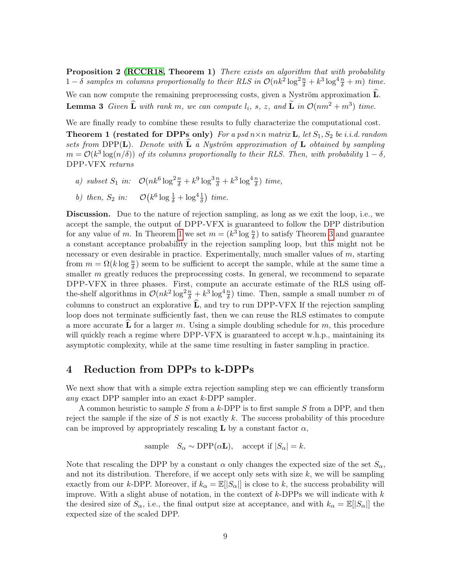<span id="page-8-2"></span>Proposition 2 [\(RCCR18,](#page-13-2) Theorem 1) There exists an algorithm that with probability  $1-\delta$  samples m columns proportionally to their RLS in  $\mathcal{O}(nk^2 \log^2 \frac{n}{\delta} + k^3 \log^4 \frac{n}{\delta} + m)$  time. We can now compute the remaining preprocessing costs, given a Nyström approximation  $\hat{L}$ . **Lemma 3** Given  $\widehat{\mathbf{L}}$  with rank m, we can compute  $l_i$ , s, z, and  $\widetilde{\mathbf{L}}$  in  $\mathcal{O}(nm^2 + m^3)$  time.

We are finally ready to combine these results to fully characterize the computational cost.

**Theorem 1 (restated for DPPs only)** For a psd  $n \times n$  matrix **L**, let  $S_1$ ,  $S_2$  be i.i.d. random sets from DPP(L). Denote with  $\hat{L}$  a Nyström approximation of L obtained by sampling  $m = \mathcal{O}(k^3 \log(n/\delta))$  of its columns proportionally to their RLS. Then, with probability  $1 - \delta$ , DPP-VFX returns

- <span id="page-8-0"></span>a) subset  $S_1$  in:  $\mathcal{O}(nk^6 \log^2 \frac{n}{\delta} + k^9 \log^3 \frac{n}{\delta} + k^3 \log^4 \frac{n}{\delta})$  time,
- b) then,  $S_2$  in:  $\mathcal{O}(k^6 \log \frac{1}{\delta} + \log^4 \frac{1}{\delta})$  time.

Discussion. Due to the nature of rejection sampling, as long as we exit the loop, i.e., we accept the sample, the output of DPP-VFX is guaranteed to follow the DPP distribution for any value of m. In Theorem [1](#page-8-0) we set  $m = (k^3 \log \frac{n}{\delta})$  to satisfy Theorem [3](#page-6-1) and guarantee a constant acceptance probability in the rejection sampling loop, but this might not be necessary or even desirable in practice. Experimentally, much smaller values of  $m$ , starting from  $m = \Omega(k \log \frac{n}{\delta})$  seem to be sufficient to accept the sample, while at the same time a smaller  $m$  greatly reduces the preprocessing costs. In general, we recommend to separate DPP-VFX in three phases. First, compute an accurate estimate of the RLS using offthe-shelf algorithms in  $\mathcal{O}(nk^2 \log^2 \frac{n}{\delta} + k^3 \log^4 \frac{n}{\delta})$  time. Then, sample a small number m of columns to construct an explorative  $L$ , and try to run DPP-VFX If the rejection sampling loop does not terminate sufficiently fast, then we can reuse the RLS estimates to compute a more accurate L for a larger m. Using a simple doubling schedule for m, this procedure will quickly reach a regime where DPP-VFX is guaranteed to accept w.h.p., maintaining its asymptotic complexity, while at the same time resulting in faster sampling in practice.

#### <span id="page-8-1"></span>4 Reduction from DPPs to k-DPPs

We next show that with a simple extra rejection sampling step we can efficiently transform any exact DPP sampler into an exact  $k$ -DPP sampler.

A common heuristic to sample  $S$  from a  $k$ -DPP is to first sample  $S$  from a DPP, and then reject the sample if the size of S is not exactly k. The success probability of this procedure can be improved by appropriately rescaling **L** by a constant factor  $\alpha$ ,

sample 
$$
S_{\alpha} \sim \text{DPP}(\alpha \mathbf{L})
$$
, accept if  $|S_{\alpha}| = k$ .

Note that rescaling the DPP by a constant  $\alpha$  only changes the expected size of the set  $S_{\alpha}$ , and not its distribution. Therefore, if we accept only sets with size  $k$ , we will be sampling exactly from our k-DPP. Moreover, if  $k_{\alpha} = \mathbb{E}(|S_{\alpha}|)$  is close to k, the success probability will improve. With a slight abuse of notation, in the context of  $k$ -DPPs we will indicate with  $k$ the desired size of  $S_{\alpha}$ , i.e., the final output size at acceptance, and with  $k_{\alpha} = \mathbb{E}[S_{\alpha}]$  the expected size of the scaled DPP.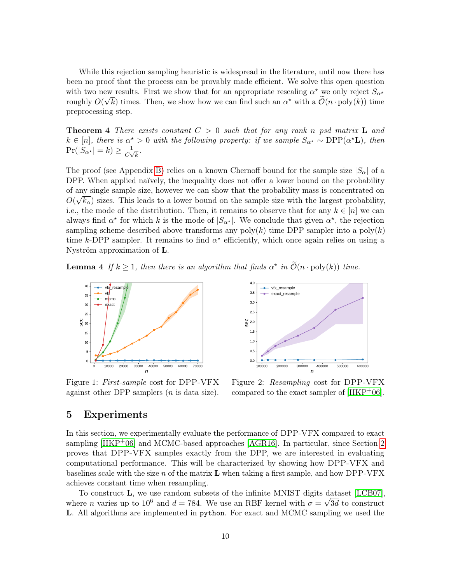While this rejection sampling heuristic is widespread in the literature, until now there has been no proof that the process can be provably made efficient. We solve this open question with two new results. First we show that for an appropriate rescaling  $\alpha^*$  we only reject  $S_{\alpha^*}$ roughly  $O(\sqrt{k})$  times. Then, we show how we can find such an  $\alpha^*$  with a  $\tilde{O}(n \cdot \text{poly}(k))$  time preprocessing step.

<span id="page-9-2"></span>**Theorem 4** There exists constant  $C > 0$  such that for any rank n psd matrix **L** and  $k \in [n]$ , there is  $\alpha^* > 0$  with the following property: if we sample  $S_{\alpha^*} \sim \text{DPP}(\alpha^* \mathbf{L})$ , then  $\Pr(|S_{\alpha^*}| = k) \geq \frac{1}{C_{\alpha}}$  $\frac{1}{C\sqrt{k}}$ .

The proof (see Appendix [B\)](#page-15-0) relies on a known Chernoff bound for the sample size  $|S_{\alpha}|$  of a DPP. When applied naïvely, the inequality does not offer a lower bound on the probability of any single sample size, however we can show that the probability mass is concentrated on  $\alpha$  ∧  $O(\sqrt{k_{\alpha}})$  sizes. This leads to a lower bound on the sample size with the largest probability, i.e., the mode of the distribution. Then, it remains to observe that for any  $k \in [n]$  we can always find  $\alpha^*$  for which k is the mode of  $|S_{\alpha^*}|$ . We conclude that given  $\alpha^*$ , the rejection sampling scheme described above transforms any  $\text{poly}(k)$  time DPP sampler into a  $\text{poly}(k)$ time k-DPP sampler. It remains to find  $\alpha^*$  efficiently, which once again relies on using a Nyström approximation of L.

**Lemma 4** If  $k \geq 1$ , then there is an algorithm that finds  $\alpha^*$  in  $\widetilde{\mathcal{O}}(n \cdot \text{poly}(k))$  time.



<span id="page-9-0"></span>Figure 1: First-sample cost for DPP-VFX against other DPP samplers  $(n$  is data size).



<span id="page-9-1"></span>Figure 2: Resampling cost for DPP-VFX compared to the exact sampler of [\[HKP](#page-12-2)+06].

#### 5 Experiments

In this section, we experimentally evaluate the performance of DPP-VFX compared to exact sampling [\[HKP](#page-12-2)+06] and MCMC-based approaches [\[AGR16\]](#page-10-0). In particular, since Section [2](#page-4-5) proves that DPP-VFX samples exactly from the DPP, we are interested in evaluating computational performance. This will be characterized by showing how DPP-VFX and baselines scale with the size  $n$  of the matrix  $L$  when taking a first sample, and how DPP-VFX achieves constant time when resampling.

To construct **L**, we use random subsets of the infinite MNIST digits dataset [\[LCB07\]](#page-12-9), where *n* varies up to 10<sup>6</sup> and  $d = 784$ . We use an RBF kernel with  $\sigma = \sqrt{3d}$  to construct L. All algorithms are implemented in python. For exact and MCMC sampling we used the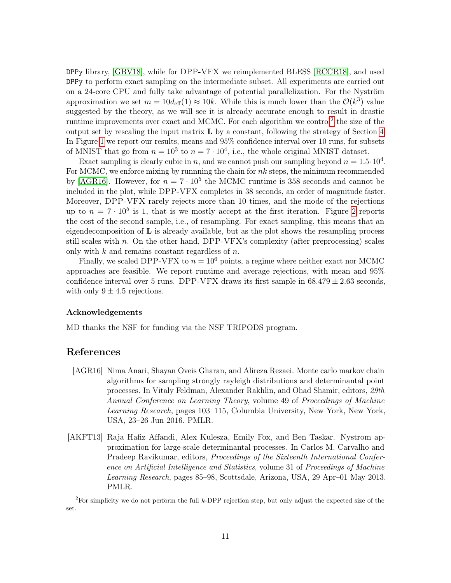DPPy library, [\[GBV18\]](#page-12-10), while for DPP-VFX we reimplemented BLESS [\[RCCR18\]](#page-13-2), and used DPPy to perform exact sampling on the intermediate subset. All experiments are carried out on a 24-core CPU and fully take advantage of potential parallelization. For the Nyström approximation we set  $m = 10d_{\text{eff}}(1) \approx 10k$ . While this is much lower than the  $\mathcal{O}(k^3)$  value suggested by the theory, as we will see it is already accurate enough to result in drastic runtime improvements over exact and MCMC. For each algorithm we control<sup>[2](#page-10-2)</sup> the size of the output set by rescaling the input matrix  $L$  by a constant, following the strategy of Section [4.](#page-8-1) In Figure [1](#page-9-0) we report our results, means and 95% confidence interval over 10 runs, for subsets of MNIST that go from  $n = 10^3$  to  $n = 7 \cdot 10^4$ , i.e., the whole original MNIST dataset.

Exact sampling is clearly cubic in n, and we cannot push our sampling beyond  $n = 1.5 \cdot 10^4$ . For MCMC, we enforce mixing by runnning the chain for  $nk$  steps, the minimum recommended by [\[AGR16\]](#page-10-0). However, for  $n = 7 \cdot 10^5$  the MCMC runtime is 358 seconds and cannot be included in the plot, while DPP-VFX completes in 38 seconds, an order of magnitude faster. Moreover, DPP-VFX rarely rejects more than 10 times, and the mode of the rejections up to  $n = 7 \cdot 10^5$  is 1, that is we mostly accept at the first iteration. Figure [2](#page-9-1) reports the cost of the second sample, i.e., of resampling. For exact sampling, this means that an eigendecomposition of  $\bf{L}$  is already available, but as the plot shows the resampling process still scales with n. On the other hand,  $DPP-VFX$ 's complexity (after preprocessing) scales only with  $k$  and remains constant regardless of  $n$ .

Finally, we scaled DPP-VFX to  $n = 10^6$  points, a regime where neither exact nor MCMC approaches are feasible. We report runtime and average rejections, with mean and 95% confidence interval over 5 runs. DPP-VFX draws its first sample in  $68.479 \pm 2.63$  seconds, with only  $9 \pm 4.5$  rejections.

#### Acknowledgements

MD thanks the NSF for funding via the NSF TRIPODS program.

#### References

- <span id="page-10-0"></span>[AGR16] Nima Anari, Shayan Oveis Gharan, and Alireza Rezaei. Monte carlo markov chain algorithms for sampling strongly rayleigh distributions and determinantal point processes. In Vitaly Feldman, Alexander Rakhlin, and Ohad Shamir, editors, 29th Annual Conference on Learning Theory, volume 49 of Proceedings of Machine Learning Research, pages 103–115, Columbia University, New York, New York, USA, 23–26 Jun 2016. PMLR.
- <span id="page-10-1"></span>[AKFT13] Raja Hafiz Affandi, Alex Kulesza, Emily Fox, and Ben Taskar. Nystrom approximation for large-scale determinantal processes. In Carlos M. Carvalho and Pradeep Ravikumar, editors, Proceedings of the Sixteenth International Conference on Artificial Intelligence and Statistics, volume 31 of Proceedings of Machine Learning Research, pages 85–98, Scottsdale, Arizona, USA, 29 Apr–01 May 2013. PMLR.

<span id="page-10-2"></span><sup>&</sup>lt;sup>2</sup>For simplicity we do not perform the full k-DPP rejection step, but only adjust the expected size of the set.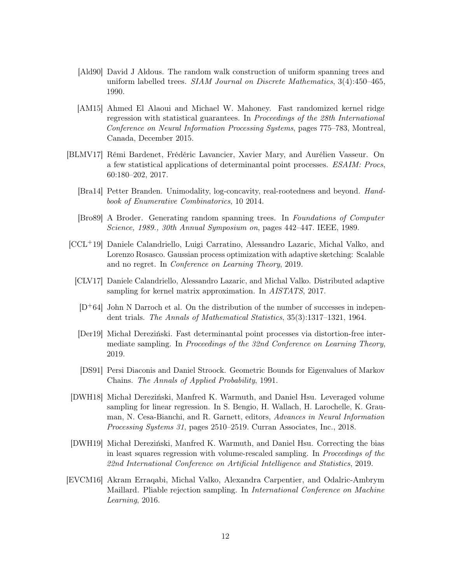- <span id="page-11-6"></span>[Ald90] David J Aldous. The random walk construction of uniform spanning trees and uniform labelled trees. SIAM Journal on Discrete Mathematics, 3(4):450–465, 1990.
- <span id="page-11-4"></span>[AM15] Ahmed El Alaoui and Michael W. Mahoney. Fast randomized kernel ridge regression with statistical guarantees. In Proceedings of the 28th International Conference on Neural Information Processing Systems, pages 775–783, Montreal, Canada, December 2015.
- <span id="page-11-11"></span><span id="page-11-0"></span>[BLMV17] Rémi Bardenet, Frédéric Lavancier, Xavier Mary, and Aurélien Vasseur. On a few statistical applications of determinantal point processes. ESAIM: Procs, 60:180–202, 2017.
	- [Bra14] Petter Branden. Unimodality, log-concavity, real-rootedness and beyond. Handbook of Enumerative Combinatorics, 10 2014.
	- [Bro89] A Broder. Generating random spanning trees. In Foundations of Computer Science, 1989., 30th Annual Symposium on, pages 442–447. IEEE, 1989.
- <span id="page-11-12"></span><span id="page-11-10"></span><span id="page-11-7"></span><span id="page-11-5"></span>[CCL+19] Daniele Calandriello, Luigi Carratino, Alessandro Lazaric, Michal Valko, and Lorenzo Rosasco. Gaussian process optimization with adaptive sketching: Scalable and no regret. In Conference on Learning Theory, 2019.
	- [CLV17] Daniele Calandriello, Alessandro Lazaric, and Michal Valko. Distributed adaptive sampling for kernel matrix approximation. In *AISTATS*, 2017.
	- $[D+64]$  John N Darroch et al. On the distribution of the number of successes in independent trials. The Annals of Mathematical Statistics, 35(3):1317–1321, 1964.
	- [Der19] Michał Dereziński. Fast determinantal point processes via distortion-free intermediate sampling. In Proceedings of the 32nd Conference on Learning Theory, 2019.
	- [DS91] Persi Diaconis and Daniel Stroock. Geometric Bounds for Eigenvalues of Markov Chains. The Annals of Applied Probability, 1991.
- <span id="page-11-8"></span><span id="page-11-3"></span><span id="page-11-1"></span>[DWH18] Michał Dereziński, Manfred K. Warmuth, and Daniel Hsu. Leveraged volume sampling for linear regression. In S. Bengio, H. Wallach, H. Larochelle, K. Grauman, N. Cesa-Bianchi, and R. Garnett, editors, Advances in Neural Information Processing Systems 31, pages 2510–2519. Curran Associates, Inc., 2018.
- <span id="page-11-2"></span>[DWH19] Michał Dereziński, Manfred K. Warmuth, and Daniel Hsu. Correcting the bias in least squares regression with volume-rescaled sampling. In Proceedings of the 22nd International Conference on Artificial Intelligence and Statistics, 2019.
- <span id="page-11-9"></span>[EVCM16] Akram Erraqabi, Michal Valko, Alexandra Carpentier, and Odalric-Ambrym Maillard. Pliable rejection sampling. In International Conference on Machine Learning, 2016.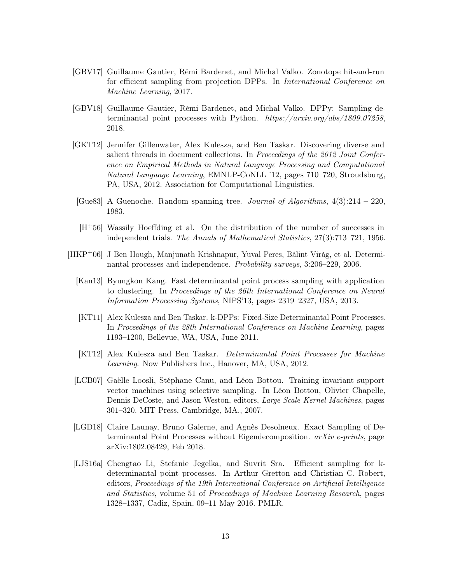- <span id="page-12-8"></span>[GBV17] Guillaume Gautier, Rémi Bardenet, and Michal Valko. Zonotope hit-and-run for efficient sampling from projection DPPs. In International Conference on Machine Learning, 2017.
- <span id="page-12-10"></span>[GBV18] Guillaume Gautier, Rémi Bardenet, and Michal Valko. DPPy: Sampling determinantal point processes with Python. https://arxiv.org/abs/1809.07258, 2018.
- <span id="page-12-5"></span>[GKT12] Jennifer Gillenwater, Alex Kulesza, and Ben Taskar. Discovering diverse and salient threads in document collections. In Proceedings of the 2012 Joint Conference on Empirical Methods in Natural Language Processing and Computational Natural Language Learning, EMNLP-CoNLL '12, pages 710–720, Stroudsburg, PA, USA, 2012. Association for Computational Linguistics.
- <span id="page-12-0"></span>[Gue83] A Guenoche. Random spanning tree. *Journal of Algorithms*,  $4(3):214-220$ , 1983.
- <span id="page-12-11"></span>[H+56] Wassily Hoeffding et al. On the distribution of the number of successes in independent trials. The Annals of Mathematical Statistics, 27(3):713–721, 1956.
- <span id="page-12-9"></span><span id="page-12-7"></span><span id="page-12-6"></span><span id="page-12-4"></span><span id="page-12-3"></span><span id="page-12-2"></span><span id="page-12-1"></span>[HKP+06] J Ben Hough, Manjunath Krishnapur, Yuval Peres, Bálint Virág, et al. Determinantal processes and independence. Probability surveys, 3:206–229, 2006.
	- [Kan13] Byungkon Kang. Fast determinantal point process sampling with application to clustering. In Proceedings of the 26th International Conference on Neural Information Processing Systems, NIPS'13, pages 2319–2327, USA, 2013.
	- [KT11] Alex Kulesza and Ben Taskar. k-DPPs: Fixed-Size Determinantal Point Processes. In Proceedings of the 28th International Conference on Machine Learning, pages 1193–1200, Bellevue, WA, USA, June 2011.
	- [KT12] Alex Kulesza and Ben Taskar. Determinantal Point Processes for Machine Learning. Now Publishers Inc., Hanover, MA, USA, 2012.
	- [LCB07] Gaëlle Loosli, Stéphane Canu, and Léon Bottou. Training invariant support vector machines using selective sampling. In Léon Bottou, Olivier Chapelle, Dennis DeCoste, and Jason Weston, editors, Large Scale Kernel Machines, pages 301–320. MIT Press, Cambridge, MA., 2007.
	- [LGD18] Claire Launay, Bruno Galerne, and Agnès Desolneux. Exact Sampling of Determinantal Point Processes without Eigendecomposition.  $arXiv$  e-prints, page arXiv:1802.08429, Feb 2018.
	- [LJS16a] Chengtao Li, Stefanie Jegelka, and Suvrit Sra. Efficient sampling for kdeterminantal point processes. In Arthur Gretton and Christian C. Robert, editors, Proceedings of the 19th International Conference on Artificial Intelligence and Statistics, volume 51 of Proceedings of Machine Learning Research, pages 1328–1337, Cadiz, Spain, 09–11 May 2016. PMLR.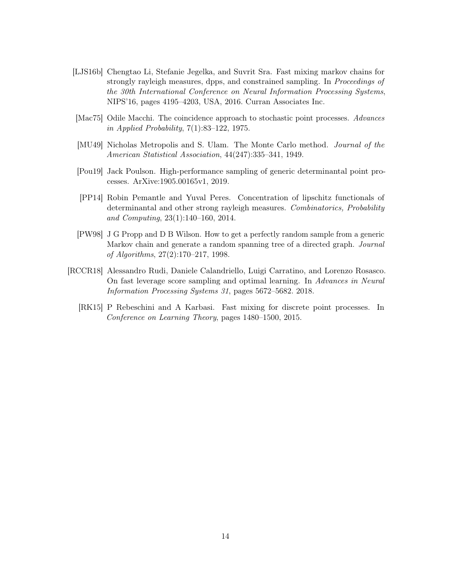- <span id="page-13-1"></span>[LJS16b] Chengtao Li, Stefanie Jegelka, and Suvrit Sra. Fast mixing markov chains for strongly rayleigh measures, dpps, and constrained sampling. In Proceedings of the 30th International Conference on Neural Information Processing Systems, NIPS'16, pages 4195–4203, USA, 2016. Curran Associates Inc.
- <span id="page-13-0"></span>[Mac75] Odile Macchi. The coincidence approach to stochastic point processes. Advances in Applied Probability, 7(1):83–122, 1975.
- <span id="page-13-5"></span>[MU49] Nicholas Metropolis and S. Ulam. The Monte Carlo method. Journal of the American Statistical Association, 44(247):335–341, 1949.
- <span id="page-13-3"></span>[Pou19] Jack Poulson. High-performance sampling of generic determinantal point processes. ArXive:1905.00165v1, 2019.
- <span id="page-13-7"></span>[PP14] Robin Pemantle and Yuval Peres. Concentration of lipschitz functionals of determinantal and other strong rayleigh measures. Combinatorics, Probability and Computing, 23(1):140–160, 2014.
- <span id="page-13-4"></span>[PW98] J G Propp and D B Wilson. How to get a perfectly random sample from a generic Markov chain and generate a random spanning tree of a directed graph. Journal of Algorithms, 27(2):170–217, 1998.
- <span id="page-13-6"></span><span id="page-13-2"></span>[RCCR18] Alessandro Rudi, Daniele Calandriello, Luigi Carratino, and Lorenzo Rosasco. On fast leverage score sampling and optimal learning. In Advances in Neural Information Processing Systems 31, pages 5672–5682. 2018.
	- [RK15] P Rebeschini and A Karbasi. Fast mixing for discrete point processes. In Conference on Learning Theory, pages 1480–1500, 2015.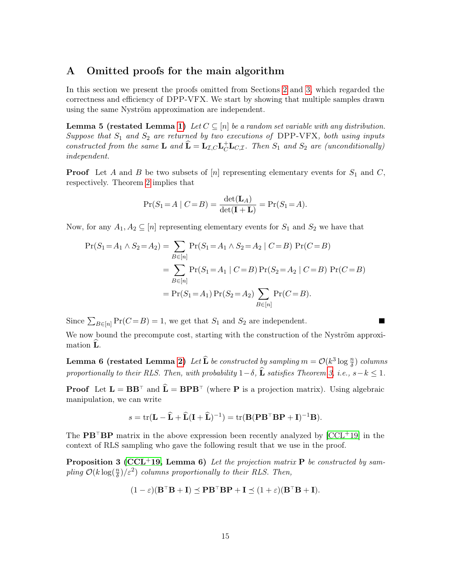### <span id="page-14-0"></span>A Omitted proofs for the main algorithm

In this section we present the proofs omitted from Sections [2](#page-4-5) and [3,](#page-6-0) which regarded the correctness and efficiency of DPP-VFX. We start by showing that multiple samples drawn using the same Nyström approximation are independent.

**Lemma 5 (restated Lemma [1\)](#page-6-2)** Let  $C \subseteq [n]$  be a random set variable with any distribution. Suppose that  $S_1$  and  $S_2$  are returned by two executions of DPP-VFX, both using inputs constructed from the same **L** and  $\hat{\mathbf{L}} = \mathbf{L}_{\mathcal{I},C} \mathbf{L}_{C}^{\dagger} \mathbf{L}_{C,\mathcal{I}}$ . Then  $S_1$  and  $S_2$  are (unconditionally) independent.

**Proof** Let A and B be two subsets of  $[n]$  representing elementary events for  $S_1$  and C, respectively. Theorem [2](#page-5-0) implies that

$$
\Pr(S_1 = A \mid C = B) = \frac{\det(\mathbf{L}_A)}{\det(\mathbf{I} + \mathbf{L})} = \Pr(S_1 = A).
$$

Now, for any  $A_1, A_2 \subseteq [n]$  representing elementary events for  $S_1$  and  $S_2$  we have that

$$
\Pr(S_1 = A_1 \land S_2 = A_2) = \sum_{B \in [n]} \Pr(S_1 = A_1 \land S_2 = A_2 | C = B) \Pr(C = B)
$$
  
= 
$$
\sum_{B \in [n]} \Pr(S_1 = A_1 | C = B) \Pr(S_2 = A_2 | C = B) \Pr(C = B)
$$
  
= 
$$
\Pr(S_1 = A_1) \Pr(S_2 = A_2) \sum_{B \in [n]} \Pr(C = B).
$$

Since  $\sum_{B \in [n]} \Pr(C = B) = 1$ , we get that  $S_1$  and  $S_2$  are independent.

We now bound the precompute cost, starting with the construction of the Nyström approximation L.

**Lemma 6 (restated Lemma [2\)](#page-7-0)** Let  $\widehat{\mathbf{L}}$  be constructed by sampling  $m = \mathcal{O}(k^3 \log \frac{n}{\delta})$  columns proportionally to their RLS. Then, with probability  $1-\delta$ ,  $\widehat{\bf L}$  satisfies Theorem [3,](#page-6-1) i.e., s-k < 1.

**Proof** Let  $\mathbf{L} = \mathbf{B} \mathbf{B}^{\top}$  and  $\hat{\mathbf{L}} = \mathbf{B} \mathbf{P} \mathbf{B}^{\top}$  (where **P** is a projection matrix). Using algebraic manipulation, we can write

<span id="page-14-1"></span>
$$
s = \text{tr}(\mathbf{L} - \widehat{\mathbf{L}} + \widehat{\mathbf{L}}(\mathbf{I} + \widehat{\mathbf{L}})^{-1}) = \text{tr}(\mathbf{B}(\mathbf{P}\mathbf{B}^{\top}\mathbf{B}\mathbf{P} + \mathbf{I})^{-1}\mathbf{B}).
$$

The  $\mathbf{PB}^{\top}\mathbf{BP}$  matrix in the above expression been recently analyzed by  $[CCL^{+19}]$  $[CCL^{+19}]$  in the context of RLS sampling who gave the following result that we use in the proof.

**Proposition 3 [\(CCL](#page-11-10)+19, Lemma 6)** Let the projection matrix  $P$  be constructed by sampling  $\mathcal{O}(k \log(\frac{n}{\delta})/\varepsilon^2)$  columns proportionally to their RLS. Then,

$$
(1 - \varepsilon)(\mathbf{B}^\top \mathbf{B} + \mathbf{I}) \preceq \mathbf{P} \mathbf{B}^\top \mathbf{B} \mathbf{P} + \mathbf{I} \preceq (1 + \varepsilon)(\mathbf{B}^\top \mathbf{B} + \mathbf{I}).
$$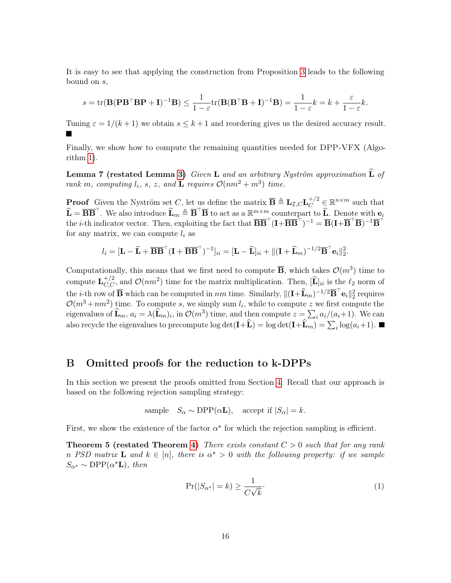It is easy to see that applying the construction from Proposition [3](#page-14-1) leads to the following bound on s,

$$
s = \text{tr}(\mathbf{B}(\mathbf{P}\mathbf{B}^{\top}\mathbf{B}\mathbf{P} + \mathbf{I})^{-1}\mathbf{B}) \le \frac{1}{1-\varepsilon}\text{tr}(\mathbf{B}(\mathbf{B}^{\top}\mathbf{B} + \mathbf{I})^{-1}\mathbf{B}) = \frac{1}{1-\varepsilon}k = k + \frac{\varepsilon}{1-\varepsilon}k.
$$

Tuning  $\varepsilon = 1/(k+1)$  we obtain  $s \leq k+1$  and reordering gives us the desired accuracy result.

Finally, we show how to compute the remaining quantities needed for DPP-VFX (Algorithm [1\)](#page-4-0).

Lemma 7 (restated Lemma [3\)](#page-8-2) Given L and an arbitrary Nyström approximation  $\widehat{\mathbf{L}}$  of rank m, computing  $l_i$ , s, z, and  $\widetilde{\mathbf{L}}$  requires  $\mathcal{O}(nm^2 + m^3)$  time.

**Proof** Given the Nyström set C, let us define the matrix  $\overline{\mathbf{B}} \triangleq \mathbf{L}_{\mathcal{I},C} \mathbf{L}_{C}^{+/2} \in \mathbb{R}^{n \times m}$  such that  $\widehat{\mathbf{L}} = \overline{\mathbf{B}} \overline{\mathbf{B}}^{\top}$ . We also introduce  $\widehat{\mathbf{L}}_m \triangleq \overline{\mathbf{B}}^{\top} \overline{\mathbf{B}}$  to act as a  $\mathbb{R}^{m \times m}$  counterpart to  $\widehat{\mathbf{L}}$ . Denote with  $\mathbf{e}_i$ the *i*-th indicator vector. Then, exploiting the fact that  $\overline{\bf BB}^{\top}({\bf I}+\overline{\bf BB}^{\top})^{-1}=\overline{\bf B}({\bf I}+\overline{\bf B}^{\top}\overline{\bf B})^{-1}\overline{\bf B}^{\top}$ for any matrix, we can compute  $l_i$  as

$$
l_i = [\mathbf{L} - \widehat{\mathbf{L}} + \overline{\mathbf{B}} \overline{\mathbf{B}}^{\top} (\mathbf{I} + \overline{\mathbf{B}} \overline{\mathbf{B}}^{\top})^{-1}]_{ii} = [\mathbf{L} - \widehat{\mathbf{L}}]_{ii} + ||(\mathbf{I} + \widehat{\mathbf{L}}_m)^{-1/2} \overline{\mathbf{B}}^{\top} \mathbf{e}_i||_2^2.
$$

Computationally, this means that we first need to compute  $\overline{B}$ , which takes  $\mathcal{O}(m^3)$  time to compute  $\mathbf{L}_{C,C}^{+/2}$ , and  $\mathcal{O}(nm^2)$  time for the matrix multiplication. Then,  $[\widehat{\mathbf{L}}]_{ii}$  is the  $\ell_2$  norm of the *i*-th row of  $\overline{B}$  which can be computed in *nm* time. Similarly,  $\|(\mathbf{I}+\widehat{\mathbf{L}}_m)^{-1/2}\overline{B}^\top \mathbf{e}_i\|_2^2$  requires  $\mathcal{O}(m^3 + nm^2)$  time. To compute s, we simply sum  $l_i$ , while to compute z we first compute the eigenvalues of  $\widehat{\mathbf{L}}_m$ ,  $a_i = \lambda(\widehat{\mathbf{L}}_m)_i$ , in  $\mathcal{O}(m^3)$  time, and then compute  $z = \sum_i a_i/(a_i+1)$ . We can also recycle the eigenvalues to precompute  $\log \det(\mathbf{I} + \mathbf{L}) = \log \det(\mathbf{I} + \mathbf{L}_m) = \sum_i \log(a_i + 1)$ .

## <span id="page-15-0"></span>B Omitted proofs for the reduction to k-DPPs

In this section we present the proofs omitted from Section [4.](#page-8-1) Recall that our approach is based on the following rejection sampling strategy:

$$
sample \tS_{\alpha} \sim \text{DPP}(\alpha \mathbf{L}), \text{ accept if } |S_{\alpha}| = k.
$$

First, we show the existence of the factor  $\alpha^*$  for which the rejection sampling is efficient.

**Theorem 5 (restated Theorem [4\)](#page-9-2)** There exists constant  $C > 0$  such that for any rank n PSD matrix **L** and  $k \in [n]$ , there is  $\alpha^* > 0$  with the following property: if we sample  $S_{\alpha^*} \sim \text{DPP}(\alpha^* \mathbf{L}), \text{ then}$ 

$$
\Pr(|S_{\alpha^*}| = k) \ge \frac{1}{C\sqrt{k}}.\tag{1}
$$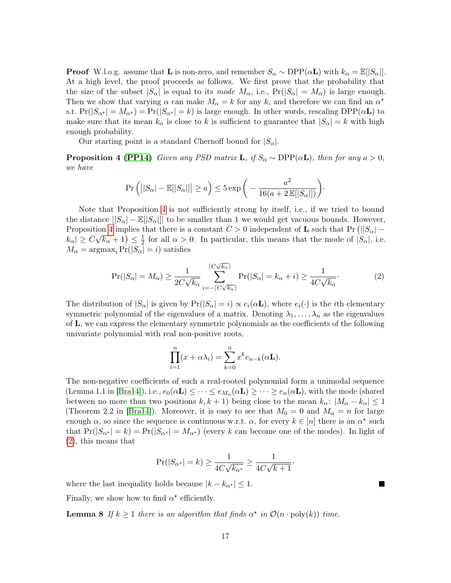**Proof** W.l.o.g. assume that **L** is non-zero, and remember  $S_{\alpha} \sim \text{DPP}(\alpha L)$  with  $k_{\alpha} = \mathbb{E}[|S_{\alpha}|]$ . At a high level, the proof proceeds as follows. We first prove that the probability that the size of the subset  $|S_{\alpha}|$  is equal to its mode  $M_{\alpha}$ , i.e.,  $Pr(|S_{\alpha}| = M_{\alpha})$  is large enough. Then we show that varying  $\alpha$  can make  $M_{\alpha} = k$  for any k, and therefore we can find an  $\alpha^*$ s.t.  $Pr(|S_{\alpha^*}| = M_{\alpha^*}) = Pr(|S_{\alpha^*}| = k)$  is large enough. In other words, rescaling  $DPP(\alpha L)$  to make sure that its mean  $k_{\alpha}$  is close to k is sufficient to guarantee that  $|S_{\alpha}| = k$  with high enough probability.

Our starting point is a standard Chernoff bound for  $|S_{\alpha}|$ .

**Proposition 4 [\(PP14\)](#page-13-7)** Given any PSD matrix **L**, if  $S_\alpha \sim \text{DPP}(\alpha \mathbf{L})$ , then for any  $a > 0$ , we have

<span id="page-16-0"></span>
$$
\Pr\left(\left||S_{\alpha}| - \mathbb{E}[|S_{\alpha}|\right|| \geq a\right) \leq 5 \exp\bigg(-\frac{a^2}{16(a+2\mathbb{E}[|S_{\alpha}|])}\bigg)\cdot
$$

Note that Proposition [4](#page-16-0) is not sufficiently strong by itself, i.e., if we tried to bound the distance  $||S_{\alpha}|- \mathbb{E}||S_{\alpha}|||$  to be smaller than 1 we would get vacuous bounds. However, Proposition [4](#page-16-0) implies that there is a constant  $C > 0$  independent of **L** such that  $Pr(||S_{\alpha}| |k_{\alpha}| \geq C\sqrt{k_{\alpha}}+1 \leq \frac{1}{2}$  $\frac{1}{2}$  for all  $\alpha > 0$ . In particular, this means that the mode of  $|S_{\alpha}|$ , i.e.  $M_{\alpha} = \operatorname{argmax}_{i} \Pr(|S_{\alpha}| = i)$  satisfies

$$
\Pr(|S_{\alpha}| = M_{\alpha}) \ge \frac{1}{2C\sqrt{k_{\alpha}}}\sum_{i=-\lceil C\sqrt{k_{\alpha}} \rceil}^{\lceil C\sqrt{k_{\alpha}} \rceil} \Pr(|S_{\alpha}| = k_{\alpha} + i) \ge \frac{1}{4C\sqrt{k_{\alpha}}}.
$$
 (2)

The distribution of  $|S_{\alpha}|$  is given by  $Pr(|S_{\alpha}| = i) \propto e_i(\alpha \mathbf{L})$ , where  $e_i(\cdot)$  is the *i*th elementary symmetric polynomial of the eigenvalues of a matrix. Denoting  $\lambda_1, \ldots, \lambda_n$  as the eigenvalues of L, we can express the elementary symmetric polynomials as the coefficients of the following univariate polynomial with real non-positive roots,

<span id="page-16-1"></span>
$$
\prod_{i=1}^{n} (x + \alpha \lambda_i) = \sum_{k=0}^{n} x^k e_{n-k}(\alpha \mathbf{L}).
$$

The non-negative coefficients of such a real-rooted polynomial form a unimodal sequence (Lemma 1.1 in [\[Bra14\]](#page-11-11)), i.e.,  $e_0(\alpha \mathbf{L}) \leq \cdots \leq e_{M_\alpha}(\alpha \mathbf{L}) \geq \cdots \geq e_n(\alpha \mathbf{L})$ , with the mode (shared between no more than two positions  $k, k + 1$ ) being close to the mean  $k_{\alpha}: |M_{\alpha} - k_{\alpha}| \leq 1$ (Theorem 2.2 in [\[Bra14\]](#page-11-11)). Moreover, it is easy to see that  $M_0 = 0$  and  $M_\alpha = n$  for large enough  $\alpha$ , so since the sequence is continuous w.r.t.  $\alpha$ , for every  $k \in [n]$  there is an  $\alpha^*$  such that  $Pr(|S_{\alpha^*}| = k) = Pr(|S_{\alpha^*}| = M_{\alpha^*})$  (every k can become one of the modes). In light of [\(2\)](#page-16-1), this means that

$$
\Pr(|S_{\alpha^\star}| = k) \ge \frac{1}{4C\sqrt{k_{\alpha^\star}}} \ge \frac{1}{4C\sqrt{k+1}},
$$

where the last inequality holds because  $|k - k_{\alpha^*}| \leq 1$ .

Finally, we show how to find  $\alpha^*$  efficiently.

**Lemma 8** If  $k \ge 1$  there is an algorithm that finds  $\alpha^*$  in  $\mathcal{O}(n \cdot \text{poly}(k))$  time.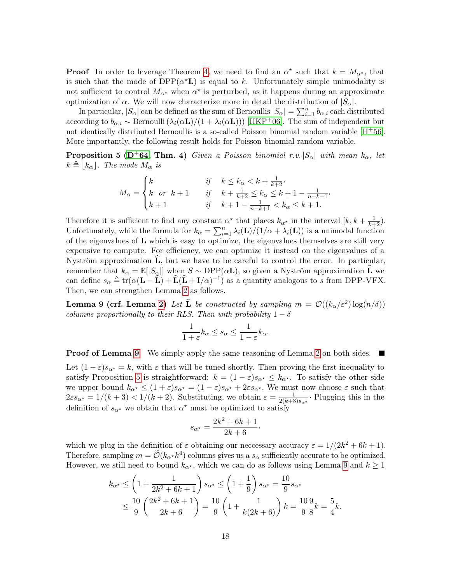**Proof** In order to leverage Theorem [4,](#page-9-2) we need to find an  $\alpha^*$  such that  $k = M_{\alpha^*}$ , that is such that the mode of  $DPP(\alpha^{\star}L)$  is equal to k. Unfortunately simple unimodality is not sufficient to control  $M_{\alpha^*}$  when  $\alpha^*$  is perturbed, as it happens during an approximate optimization of  $\alpha$ . We will now characterize more in detail the distribution of  $|S_{\alpha}|$ .

In particular,  $|S_\alpha|$  can be defined as the sum of Bernoullis  $|S_\alpha| = \sum_{i=1}^n b_{\alpha,i}$  each distributed according to  $b_{\alpha,i} \sim \text{Bernoulli}(\lambda_i(\alpha \mathbf{L})/(1 + \lambda_i(\alpha \mathbf{L})))$  [\[HKP](#page-12-2)<sup>+</sup>06]. The sum of independent but not identically distributed Bernoullis is a so-called Poisson binomial random variable [H+[56\]](#page-12-11). More importantly, the following result holds for Poisson binomial random variable.

**Proposition 5 (D+[64,](#page-11-12) Thm. 4)** Given a Poisson binomial r.v.  $|S_{\alpha}|$  with mean  $k_{\alpha}$ , let  $k \triangleq |k_{\alpha}|$ . The mode  $M_{\alpha}$  is

<span id="page-17-1"></span>
$$
M_{\alpha} = \begin{cases} k & \text{if} \quad k \le k_{\alpha} < k + \frac{1}{k+2}, \\ k \quad \text{or} \quad k+1 & \text{if} \quad k + \frac{1}{k+2} \le k_{\alpha} \le k+1 - \frac{1}{n-k+1}, \\ k+1 & \text{if} \quad k+1 - \frac{1}{n-k+1} < k_{\alpha} \le k+1. \end{cases}
$$

Therefore it is sufficient to find any constant  $\alpha^*$  that places  $k_{\alpha^*}$  in the interval  $[k, k + \frac{1}{k+2})$ . Unfortunately, while the formula for  $k_{\alpha} = \sum_{i=1}^{n} \lambda_i(\mathbf{L})/(1/\alpha + \lambda_i(\mathbf{L}))$  is a unimodal function of the eigenvalues of  $\bf{L}$  which is easy to optimize, the eigenvalues themselves are still very expensive to compute. For efficiency, we can optimize it instead on the eigenvalues of a Nyström approximation  $\bf{L}$ , but we have to be careful to control the error. In particular, remember that  $k_{\alpha} = \mathbb{E}[|S_{\alpha}|]$  when  $S \sim \text{DPP}(\alpha L)$ , so given a Nyström approximation  $\overline{L}$  we can define  $s_{\alpha} \triangleq \text{tr}(\alpha(\mathbf{L} - \widehat{\mathbf{L}}) + \widehat{\mathbf{L}}(\widehat{\mathbf{L}} + \mathbf{I}/\alpha)^{-1})$  as a quantity analogous to s from DPP-VFX. Then, we can strengthen Lemma [2](#page-7-0) as follows.

**Lemma 9 (crf. Lemma [2\)](#page-7-0)** Let  $\widehat{\mathbf{L}}$  be constructed by sampling  $m = \mathcal{O}((k_{\alpha}/\varepsilon^2) \log(n/\delta))$ columns proportionally to their RLS. Then with probability  $1 - \delta$ 

<span id="page-17-0"></span>
$$
\frac{1}{1+\varepsilon}k_{\alpha} \leq s_{\alpha} \leq \frac{1}{1-\varepsilon}k_{\alpha}.
$$

**Proof of Lemma [9](#page-17-0)** We simply apply the same reasoning of Lemma [2](#page-7-0) on both sides. Let  $(1 - \varepsilon)s_{\alpha^*} = k$ , with  $\varepsilon$  that will be tuned shortly. Then proving the first inequality to satisfy Proposition [5](#page-17-1) is straightforward:  $k = (1 - \varepsilon)s_{\alpha^*} \leq k_{\alpha^*}$ . To satisfy the other side we upper bound  $k_{\alpha^*} \leq (1+\varepsilon)s_{\alpha^*} = (1-\varepsilon)s_{\alpha^*} + 2\varepsilon s_{\alpha^*}$ . We must now choose  $\varepsilon$  such that  $2\varepsilon s_{\alpha^*} = 1/(k+3) < 1/(k+2)$ . Substituting, we obtain  $\varepsilon = \frac{1}{2(k+3)}$  $\frac{1}{2(k+3)s_{\alpha^*}}$ . Plugging this in the definition of  $s_{\alpha^*}$  we obtain that  $\alpha^*$  must be optimized to satisfy

$$
s_{\alpha^*} = \frac{2k^2 + 6k + 1}{2k + 6},
$$

which we plug in the definition of  $\varepsilon$  obtaining our neccessary accuracy  $\varepsilon = 1/(2k^2 + 6k + 1)$ . Therefore, sampling  $m = \widetilde{\mathcal{O}}(k_{\alpha^*} k^4)$  columns gives us a  $s_{\alpha}$  sufficiently accurate to be optimized. However, we still need to bound  $k_{\alpha^*}$ , which we can do as follows using Lemma [9](#page-17-0) and  $k \geq 1$ 

$$
k_{\alpha^*} \le \left(1 + \frac{1}{2k^2 + 6k + 1}\right) s_{\alpha^*} \le \left(1 + \frac{1}{9}\right) s_{\alpha^*} = \frac{10}{9} s_{\alpha^*}
$$
  

$$
\le \frac{10}{9} \left(\frac{2k^2 + 6k + 1}{2k + 6}\right) = \frac{10}{9} \left(1 + \frac{1}{k(2k + 6)}\right) k = \frac{10}{9} \frac{9}{8} k = \frac{5}{4} k.
$$